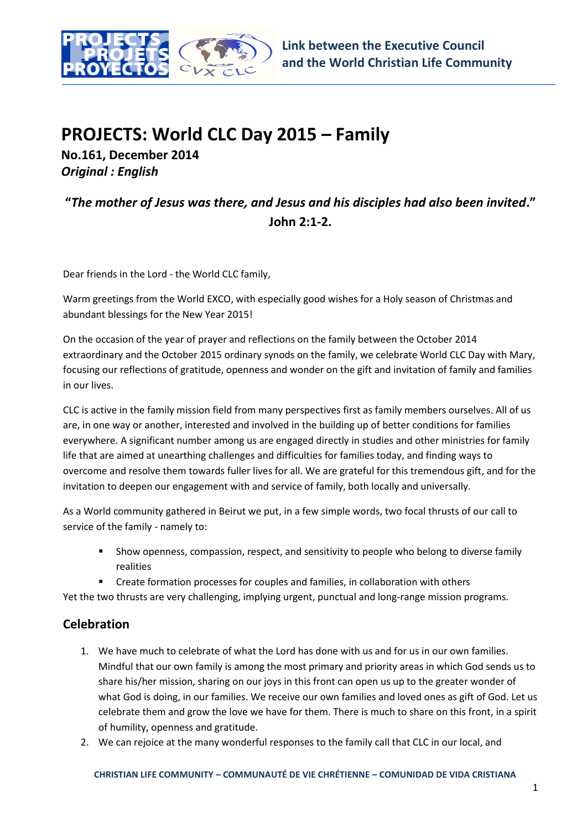

## **PROJECTS: World CLC Day 2015 – Family**

**No.161, December 2014** *Original : English*

**"***The mother of Jesus was there, and Jesus and his disciples had also been invited***." John 2:1-2.**

Dear friends in the Lord - the World CLC family,

Warm greetings from the World EXCO, with especially good wishes for a Holy season of Christmas and abundant blessings for the New Year 2015!

On the occasion of the year of prayer and reflections on the family between the October 2014 extraordinary and the October 2015 ordinary synods on the family, we celebrate World CLC Day with Mary, focusing our reflections of gratitude, openness and wonder on the gift and invitation of family and families in our lives.

CLC is active in the family mission field from many perspectives first as family members ourselves. All of us are, in one way or another, interested and involved in the building up of better conditions for families everywhere. A significant number among us are engaged directly in studies and other ministries for family life that are aimed at unearthing challenges and difficulties for families today, and finding ways to overcome and resolve them towards fuller lives for all. We are grateful for this tremendous gift, and for the invitation to deepen our engagement with and service of family, both locally and universally.

As a World community gathered in Beirut we put, in a few simple words, two focal thrusts of our call to service of the family - namely to:

- Show openness, compassion, respect, and sensitivity to people who belong to diverse family realities
- Create formation processes for couples and families, in collaboration with others

Yet the two thrusts are very challenging, implying urgent, punctual and long-range mission programs.

## **Celebration**

- 1. We have much to celebrate of what the Lord has done with us and for us in our own families. Mindful that our own family is among the most primary and priority areas in which God sends us to share his/her mission, sharing on our joys in this front can open us up to the greater wonder of what God is doing, in our families. We receive our own families and loved ones as gift of God. Let us celebrate them and grow the love we have for them. There is much to share on this front, in a spirit of humility, openness and gratitude.
- 2. We can rejoice at the many wonderful responses to the family call that CLC in our local, and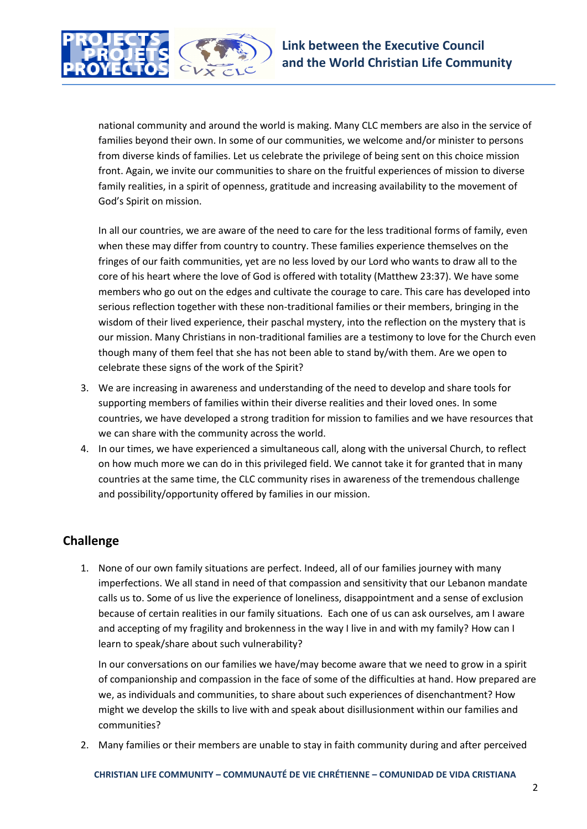

national community and around the world is making. Many CLC members are also in the service of families beyond their own. In some of our communities, we welcome and/or minister to persons from diverse kinds of families. Let us celebrate the privilege of being sent on this choice mission front. Again, we invite our communities to share on the fruitful experiences of mission to diverse family realities, in a spirit of openness, gratitude and increasing availability to the movement of God's Spirit on mission.

In all our countries, we are aware of the need to care for the less traditional forms of family, even when these may differ from country to country. These families experience themselves on the fringes of our faith communities, yet are no less loved by our Lord who wants to draw all to the core of his heart where the love of God is offered with totality (Matthew 23:37). We have some members who go out on the edges and cultivate the courage to care. This care has developed into serious reflection together with these non-traditional families or their members, bringing in the wisdom of their lived experience, their paschal mystery, into the reflection on the mystery that is our mission. Many Christians in non-traditional families are a testimony to love for the Church even though many of them feel that she has not been able to stand by/with them. Are we open to celebrate these signs of the work of the Spirit?

- 3. We are increasing in awareness and understanding of the need to develop and share tools for supporting members of families within their diverse realities and their loved ones. In some countries, we have developed a strong tradition for mission to families and we have resources that we can share with the community across the world.
- 4. In our times, we have experienced a simultaneous call, along with the universal Church, to reflect on how much more we can do in this privileged field. We cannot take it for granted that in many countries at the same time, the CLC community rises in awareness of the tremendous challenge and possibility/opportunity offered by families in our mission.

## **Challenge**

1. None of our own family situations are perfect. Indeed, all of our families journey with many imperfections. We all stand in need of that compassion and sensitivity that our Lebanon mandate calls us to. Some of us live the experience of loneliness, disappointment and a sense of exclusion because of certain realities in our family situations. Each one of us can ask ourselves, am I aware and accepting of my fragility and brokenness in the way I live in and with my family? How can I learn to speak/share about such vulnerability?

In our conversations on our families we have/may become aware that we need to grow in a spirit of companionship and compassion in the face of some of the difficulties at hand. How prepared are we, as individuals and communities, to share about such experiences of disenchantment? How might we develop the skills to live with and speak about disillusionment within our families and communities?

2. Many families or their members are unable to stay in faith community during and after perceived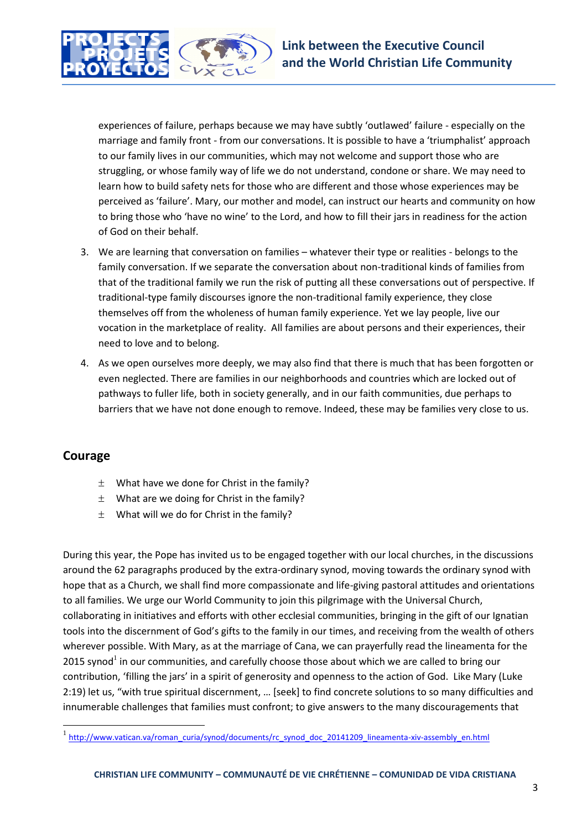

experiences of failure, perhaps because we may have subtly 'outlawed' failure - especially on the marriage and family front - from our conversations. It is possible to have a 'triumphalist' approach to our family lives in our communities, which may not welcome and support those who are struggling, or whose family way of life we do not understand, condone or share. We may need to learn how to build safety nets for those who are different and those whose experiences may be perceived as 'failure'. Mary, our mother and model, can instruct our hearts and community on how to bring those who 'have no wine' to the Lord, and how to fill their jars in readiness for the action of God on their behalf.

- 3. We are learning that conversation on families whatever their type or realities belongs to the family conversation. If we separate the conversation about non-traditional kinds of families from that of the traditional family we run the risk of putting all these conversations out of perspective. If traditional-type family discourses ignore the non-traditional family experience, they close themselves off from the wholeness of human family experience. Yet we lay people, live our vocation in the marketplace of reality. All families are about persons and their experiences, their need to love and to belong.
- 4. As we open ourselves more deeply, we may also find that there is much that has been forgotten or even neglected. There are families in our neighborhoods and countries which are locked out of pathways to fuller life, both in society generally, and in our faith communities, due perhaps to barriers that we have not done enough to remove. Indeed, these may be families very close to us.

## **Courage**

 $\overline{\phantom{a}}$ 

- $\pm$  What have we done for Christ in the family?
- $\pm$  What are we doing for Christ in the family?
- $\pm$  What will we do for Christ in the family?

During this year, the Pope has invited us to be engaged together with our local churches, in the discussions around the 62 paragraphs produced by the extra-ordinary synod, moving towards the ordinary synod with hope that as a Church, we shall find more compassionate and life-giving pastoral attitudes and orientations to all families. We urge our World Community to join this pilgrimage with the Universal Church, collaborating in initiatives and efforts with other ecclesial communities, bringing in the gift of our Ignatian tools into the discernment of God's gifts to the family in our times, and receiving from the wealth of others wherever possible. With Mary, as at the marriage of Cana, we can prayerfully read the lineamenta for the 2015 synod<sup>1</sup> in our communities, and carefully choose those about which we are called to bring our contribution, 'filling the jars' in a spirit of generosity and openness to the action of God. Like Mary (Luke 2:19) let us, "with true spiritual discernment, … [seek] to find concrete solutions to so many difficulties and innumerable challenges that families must confront; to give answers to the many discouragements that

<sup>1</sup> [http://www.vatican.va/roman\\_curia/synod/documents/rc\\_synod\\_doc\\_20141209\\_lineamenta-xiv-assembly\\_en.html](http://www.vatican.va/roman_curia/synod/documents/rc_synod_doc_20141209_lineamenta-xiv-assembly_en.html)